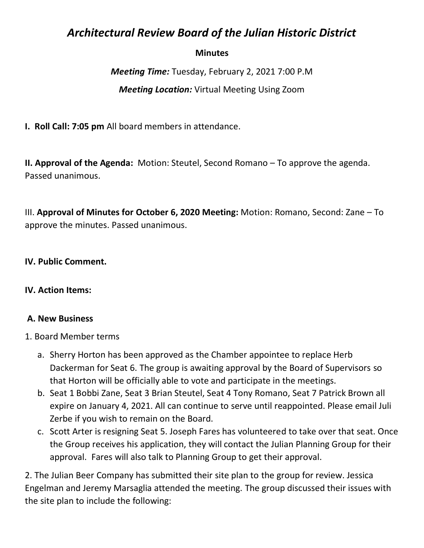# *Architectural Review Board of the Julian Historic District*

#### **Minutes**

*Meeting Time:* Tuesday, February 2, 2021 7:00 P.M *Meeting Location:* Virtual Meeting Using Zoom

**I. Roll Call: 7:05 pm** All board members in attendance.

**II. Approval of the Agenda:** Motion: Steutel, Second Romano – To approve the agenda. Passed unanimous.

III. **Approval of Minutes for October 6, 2020 Meeting:** Motion: Romano, Second: Zane – To approve the minutes. Passed unanimous.

#### **IV. Public Comment.**

#### **IV. Action Items:**

#### **A. New Business**

- 1. Board Member terms
	- a. Sherry Horton has been approved as the Chamber appointee to replace Herb Dackerman for Seat 6. The group is awaiting approval by the Board of Supervisors so that Horton will be officially able to vote and participate in the meetings.
	- b. Seat 1 Bobbi Zane, Seat 3 Brian Steutel, Seat 4 Tony Romano, Seat 7 Patrick Brown all expire on January 4, 2021. All can continue to serve until reappointed. Please email Juli Zerbe if you wish to remain on the Board.
	- c. Scott Arter is resigning Seat 5. Joseph Fares has volunteered to take over that seat. Once the Group receives his application, they will contact the Julian Planning Group for their approval. Fares will also talk to Planning Group to get their approval.

2. The Julian Beer Company has submitted their site plan to the group for review. Jessica Engelman and Jeremy Marsaglia attended the meeting. The group discussed their issues with the site plan to include the following: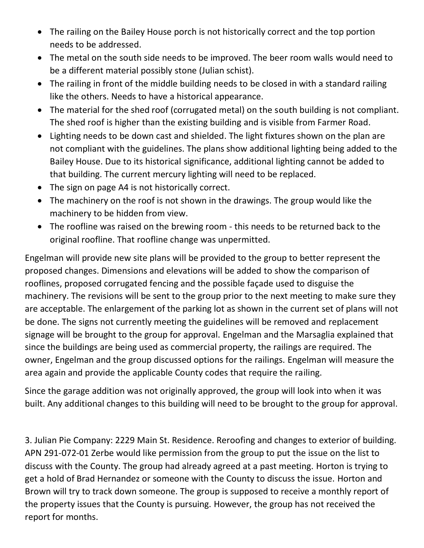- The railing on the Bailey House porch is not historically correct and the top portion needs to be addressed.
- The metal on the south side needs to be improved. The beer room walls would need to be a different material possibly stone (Julian schist).
- The railing in front of the middle building needs to be closed in with a standard railing like the others. Needs to have a historical appearance.
- The material for the shed roof (corrugated metal) on the south building is not compliant. The shed roof is higher than the existing building and is visible from Farmer Road.
- Lighting needs to be down cast and shielded. The light fixtures shown on the plan are not compliant with the guidelines. The plans show additional lighting being added to the Bailey House. Due to its historical significance, additional lighting cannot be added to that building. The current mercury lighting will need to be replaced.
- The sign on page A4 is not historically correct.
- The machinery on the roof is not shown in the drawings. The group would like the machinery to be hidden from view.
- The roofline was raised on the brewing room this needs to be returned back to the original roofline. That roofline change was unpermitted.

Engelman will provide new site plans will be provided to the group to better represent the proposed changes. Dimensions and elevations will be added to show the comparison of rooflines, proposed corrugated fencing and the possible façade used to disguise the machinery. The revisions will be sent to the group prior to the next meeting to make sure they are acceptable. The enlargement of the parking lot as shown in the current set of plans will not be done. The signs not currently meeting the guidelines will be removed and replacement signage will be brought to the group for approval. Engelman and the Marsaglia explained that since the buildings are being used as commercial property, the railings are required. The owner, Engelman and the group discussed options for the railings. Engelman will measure the area again and provide the applicable County codes that require the railing.

Since the garage addition was not originally approved, the group will look into when it was built. Any additional changes to this building will need to be brought to the group for approval.

3. Julian Pie Company: 2229 Main St. Residence. Reroofing and changes to exterior of building. APN 291-072-01 Zerbe would like permission from the group to put the issue on the list to discuss with the County. The group had already agreed at a past meeting. Horton is trying to get a hold of Brad Hernandez or someone with the County to discuss the issue. Horton and Brown will try to track down someone. The group is supposed to receive a monthly report of the property issues that the County is pursuing. However, the group has not received the report for months.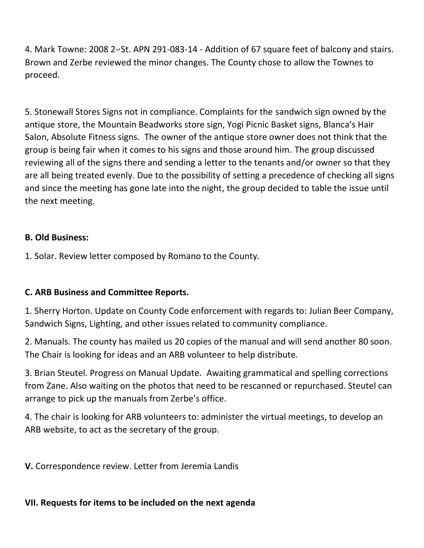4. Mark Towne: 2008 2<sup>nd</sup> St. APN 291-083-14 - Addition of 67 square feet of balcony and stairs. Brown and Zerbe reviewed the minor changes. The County chose to allow the Townes to proceed.

5. Stonewall Stores Signs not in compliance. Complaints for the sandwich sign owned by the antique store, the Mountain Beadworks store sign, Yogi Picnic Basket signs, Blanca's Hair Salon, Absolute Fitness signs. The owner of the antique store owner does not think that the group is being fair when it comes to his signs and those around him. The group discussed reviewing all of the signs there and sending a letter to the tenants and/or owner so that they are all being treated evenly. Due to the possibility of setting a precedence of checking all signs and since the meeting has gone late into the night, the group decided to table the issue until the next meeting.

### **B. Old Business:**

1. Solar. Review letter composed by Romano to the County.

## **C. ARB Business and Committee Reports.**

1. Sherry Horton. Update on County Code enforcement with regards to: Julian Beer Company, Sandwich Signs, Lighting, and other issues related to community compliance.

2. Manuals. The county has mailed us 20 copies of the manual and will send another 80 soon. The Chair is looking for ideas and an ARB volunteer to help distribute.

3. Brian Steutel. Progress on Manual Update. Awaiting grammatical and spelling corrections from Zane. Also waiting on the photos that need to be rescanned or repurchased. Steutel can arrange to pick up the manuals from Zerbe's office.

4. The chair is looking for ARB volunteers to: administer the virtual meetings, to develop an ARB website, to act as the secretary of the group.

**V.** Correspondence review. Letter from Jeremia Landis

## **VII. Requests for items to be included on the next agenda**